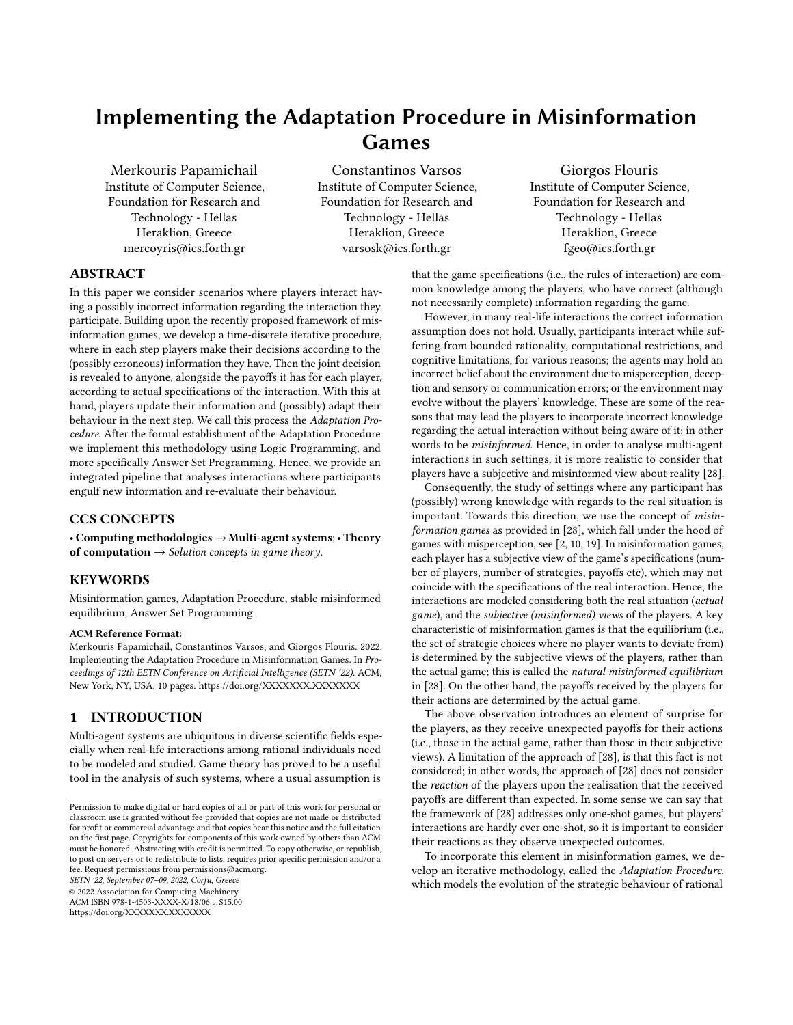# Implementing the Adaptation Procedure in Misinformation Games

Merkouris Papamichail Institute of Computer Science, Foundation for Research and Technology - Hellas Heraklion, Greece mercoyris@ics.forth.gr

Constantinos Varsos Institute of Computer Science, Foundation for Research and Technology - Hellas Heraklion, Greece varsosk@ics.forth.gr

Giorgos Flouris Institute of Computer Science, Foundation for Research and Technology - Hellas Heraklion, Greece fgeo@ics.forth.gr

## ABSTRACT

In this paper we consider scenarios where players interact having a possibly incorrect information regarding the interaction they participate. Building upon the recently proposed framework of misinformation games, we develop a time-discrete iterative procedure, where in each step players make their decisions according to the (possibly erroneous) information they have. Then the joint decision is revealed to anyone, alongside the payoffs it has for each player, according to actual specifications of the interaction. With this at hand, players update their information and (possibly) adapt their behaviour in the next step. We call this process the Adaptation Procedure. After the formal establishment of the Adaptation Procedure we implement this methodology using Logic Programming, and more specifically Answer Set Programming. Hence, we provide an integrated pipeline that analyses interactions where participants engulf new information and re-evaluate their behaviour.

## CCS CONCEPTS

• Computing methodologies → Multi-agent systems; • Theory of computation  $\rightarrow$  Solution concepts in game theory.

## **KEYWORDS**

Misinformation games, Adaptation Procedure, stable misinformed equilibrium, Answer Set Programming

#### ACM Reference Format:

Merkouris Papamichail, Constantinos Varsos, and Giorgos Flouris. 2022. Implementing the Adaptation Procedure in Misinformation Games. In Proceedings of 12th EETN Conference on Artificial Intelligence (SETN '22). ACM, New York, NY, USA, [10](#page-9-0) pages.<https://doi.org/XXXXXXX.XXXXXXX>

## 1 INTRODUCTION

Multi-agent systems are ubiquitous in diverse scientific fields especially when real-life interactions among rational individuals need to be modeled and studied. Game theory has proved to be a useful tool in the analysis of such systems, where a usual assumption is

SETN '22, September 07–09, 2022, Corfu, Greece

© 2022 Association for Computing Machinery.

ACM ISBN 978-1-4503-XXXX-X/18/06. . . \$15.00 <https://doi.org/XXXXXXX.XXXXXXX>

that the game specifications (i.e., the rules of interaction) are common knowledge among the players, who have correct (although not necessarily complete) information regarding the game.

However, in many real-life interactions the correct information assumption does not hold. Usually, participants interact while suffering from bounded rationality, computational restrictions, and cognitive limitations, for various reasons; the agents may hold an incorrect belief about the environment due to misperception, deception and sensory or communication errors; or the environment may evolve without the players' knowledge. These are some of the reasons that may lead the players to incorporate incorrect knowledge regarding the actual interaction without being aware of it; in other words to be misinformed. Hence, in order to analyse multi-agent interactions in such settings, it is more realistic to consider that players have a subjective and misinformed view about reality [\[28\]](#page-9-1).

Consequently, the study of settings where any participant has (possibly) wrong knowledge with regards to the real situation is important. Towards this direction, we use the concept of misinformation games as provided in [\[28\]](#page-9-1), which fall under the hood of games with misperception, see [\[2,](#page-9-2) [10,](#page-9-3) [19\]](#page-9-4). In misinformation games, each player has a subjective view of the game's specifications (number of players, number of strategies, payoffs etc), which may not coincide with the specifications of the real interaction. Hence, the interactions are modeled considering both the real situation (actual game), and the subjective (misinformed) views of the players. A key characteristic of misinformation games is that the equilibrium (i.e., the set of strategic choices where no player wants to deviate from) is determined by the subjective views of the players, rather than the actual game; this is called the natural misinformed equilibrium in [\[28\]](#page-9-1). On the other hand, the payoffs received by the players for their actions are determined by the actual game.

The above observation introduces an element of surprise for the players, as they receive unexpected payoffs for their actions (i.e., those in the actual game, rather than those in their subjective views). A limitation of the approach of [\[28\]](#page-9-1), is that this fact is not considered; in other words, the approach of [\[28\]](#page-9-1) does not consider the reaction of the players upon the realisation that the received payoffs are different than expected. In some sense we can say that the framework of [\[28\]](#page-9-1) addresses only one-shot games, but players' interactions are hardly ever one-shot, so it is important to consider their reactions as they observe unexpected outcomes.

To incorporate this element in misinformation games, we develop an iterative methodology, called the Adaptation Procedure, which models the evolution of the strategic behaviour of rational

Permission to make digital or hard copies of all or part of this work for personal or classroom use is granted without fee provided that copies are not made or distributed for profit or commercial advantage and that copies bear this notice and the full citation on the first page. Copyrights for components of this work owned by others than ACM must be honored. Abstracting with credit is permitted. To copy otherwise, or republish, to post on servers or to redistribute to lists, requires prior specific permission and/or a fee. Request permissions from permissions@acm.org.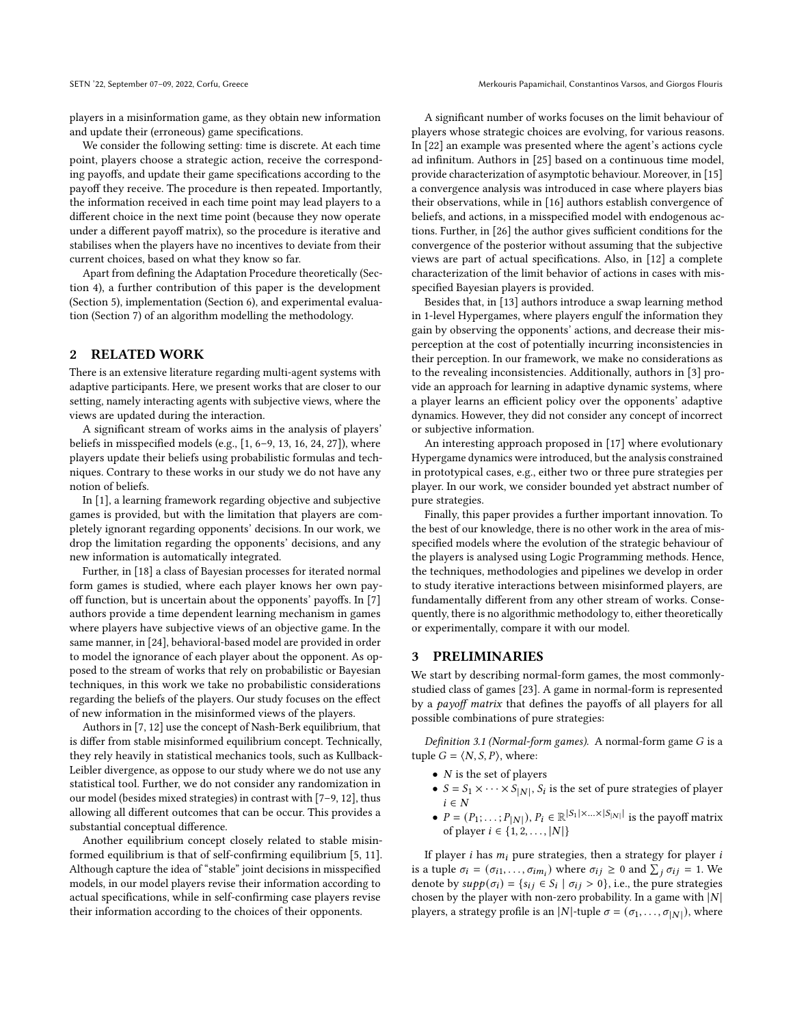players in a misinformation game, as they obtain new information and update their (erroneous) game specifications.

We consider the following setting: time is discrete. At each time point, players choose a strategic action, receive the corresponding payoffs, and update their game specifications according to the payoff they receive. The procedure is then repeated. Importantly, the information received in each time point may lead players to a different choice in the next time point (because they now operate under a different payoff matrix), so the procedure is iterative and stabilises when the players have no incentives to deviate from their current choices, based on what they know so far.

Apart from defining the Adaptation Procedure theoretically (Section [4\)](#page-2-0), a further contribution of this paper is the development (Section [5\)](#page-5-0), implementation (Section [6\)](#page-7-0), and experimental evaluation (Section [7\)](#page-8-0) of an algorithm modelling the methodology.

### 2 RELATED WORK

There is an extensive literature regarding multi-agent systems with adaptive participants. Here, we present works that are closer to our setting, namely interacting agents with subjective views, where the views are updated during the interaction.

A significant stream of works aims in the analysis of players' beliefs in misspecified models (e.g., [\[1,](#page-9-5) [6](#page-9-6)[–9,](#page-9-7) [13,](#page-9-8) [16,](#page-9-9) [24,](#page-9-10) [27\]](#page-9-11)), where players update their beliefs using probabilistic formulas and techniques. Contrary to these works in our study we do not have any notion of beliefs.

In [\[1\]](#page-9-5), a learning framework regarding objective and subjective games is provided, but with the limitation that players are completely ignorant regarding opponents' decisions. In our work, we drop the limitation regarding the opponents' decisions, and any new information is automatically integrated.

Further, in [\[18\]](#page-9-12) a class of Bayesian processes for iterated normal form games is studied, where each player knows her own payoff function, but is uncertain about the opponents' payoffs. In [\[7\]](#page-9-13) authors provide a time dependent learning mechanism in games where players have subjective views of an objective game. In the same manner, in [\[24\]](#page-9-10), behavioral-based model are provided in order to model the ignorance of each player about the opponent. As opposed to the stream of works that rely on probabilistic or Bayesian techniques, in this work we take no probabilistic considerations regarding the beliefs of the players. Our study focuses on the effect of new information in the misinformed views of the players.

Authors in [\[7,](#page-9-13) [12\]](#page-9-14) use the concept of Nash-Berk equilibrium, that is differ from stable misinformed equilibrium concept. Technically, they rely heavily in statistical mechanics tools, such as Kullback-Leibler divergence, as oppose to our study where we do not use any statistical tool. Further, we do not consider any randomization in our model (besides mixed strategies) in contrast with [\[7–](#page-9-13)[9,](#page-9-7) [12\]](#page-9-14), thus allowing all different outcomes that can be occur. This provides a substantial conceptual difference.

Another equilibrium concept closely related to stable misinformed equilibrium is that of self-confirming equilibrium [\[5,](#page-9-15) [11\]](#page-9-16). Although capture the idea of "stable" joint decisions in misspecified models, in our model players revise their information according to actual specifications, while in self-confirming case players revise their information according to the choices of their opponents.

A significant number of works focuses on the limit behaviour of players whose strategic choices are evolving, for various reasons. In [\[22\]](#page-9-17) an example was presented where the agent's actions cycle ad infinitum. Authors in [\[25\]](#page-9-18) based on a continuous time model, provide characterization of asymptotic behaviour. Moreover, in [\[15\]](#page-9-19) a convergence analysis was introduced in case where players bias their observations, while in [\[16\]](#page-9-9) authors establish convergence of beliefs, and actions, in a misspecified model with endogenous actions. Further, in [\[26\]](#page-9-20) the author gives sufficient conditions for the convergence of the posterior without assuming that the subjective views are part of actual specifications. Also, in [\[12\]](#page-9-14) a complete characterization of the limit behavior of actions in cases with misspecified Bayesian players is provided.

Besides that, in [\[13\]](#page-9-8) authors introduce a swap learning method in 1-level Hypergames, where players engulf the information they gain by observing the opponents' actions, and decrease their misperception at the cost of potentially incurring inconsistencies in their perception. In our framework, we make no considerations as to the revealing inconsistencies. Additionally, authors in [\[3\]](#page-9-21) provide an approach for learning in adaptive dynamic systems, where a player learns an efficient policy over the opponents' adaptive dynamics. However, they did not consider any concept of incorrect or subjective information.

An interesting approach proposed in [\[17\]](#page-9-22) where evolutionary Hypergame dynamics were introduced, but the analysis constrained in prototypical cases, e.g., either two or three pure strategies per player. In our work, we consider bounded yet abstract number of pure strategies.

Finally, this paper provides a further important innovation. To the best of our knowledge, there is no other work in the area of misspecified models where the evolution of the strategic behaviour of the players is analysed using Logic Programming methods. Hence, the techniques, methodologies and pipelines we develop in order to study iterative interactions between misinformed players, are fundamentally different from any other stream of works. Consequently, there is no algorithmic methodology to, either theoretically or experimentally, compare it with our model.

#### 3 PRELIMINARIES

We start by describing normal-form games, the most commonlystudied class of games [\[23\]](#page-9-23). A game in normal-form is represented by a payoff matrix that defines the payoffs of all players for all possible combinations of pure strategies:

Definition 3.1 (Normal-form games). A normal-form game  $G$  is a tuple  $G = \langle N, S, P \rangle$ , where:

- $N$  is the set of players
- $S = S_1 \times \cdots \times S_{|N|}, S_i$  is the set of pure strategies of player  $i \in N$
- $P = (P_1; \ldots; P_{|N|}), P_i \in \mathbb{R}^{|S_1| \times \ldots \times |S_{|N|}|}$  is the payoff matrix of player  $i \in \{1, 2, ..., |N|\}$

If player  $i$  has  $m_i$  pure strategies, then a strategy for player  $i$ is a tuple  $\sigma_i = (\sigma_{i1}, \ldots, \sigma_{im_i})$  where  $\sigma_{ij} \geq 0$  and  $\sum_j \sigma_{ij} = 1$ . We denote by  $supp(\sigma_i) = \{s_{ij} \in S_i \mid \sigma_{ij} > 0\}$ , i.e., the pure strategies chosen by the player with non-zero probability. In a game with  $|N|$ players, a strategy profile is an |N|-tuple  $\sigma = (\sigma_1, \ldots, \sigma_{|N|})$ , where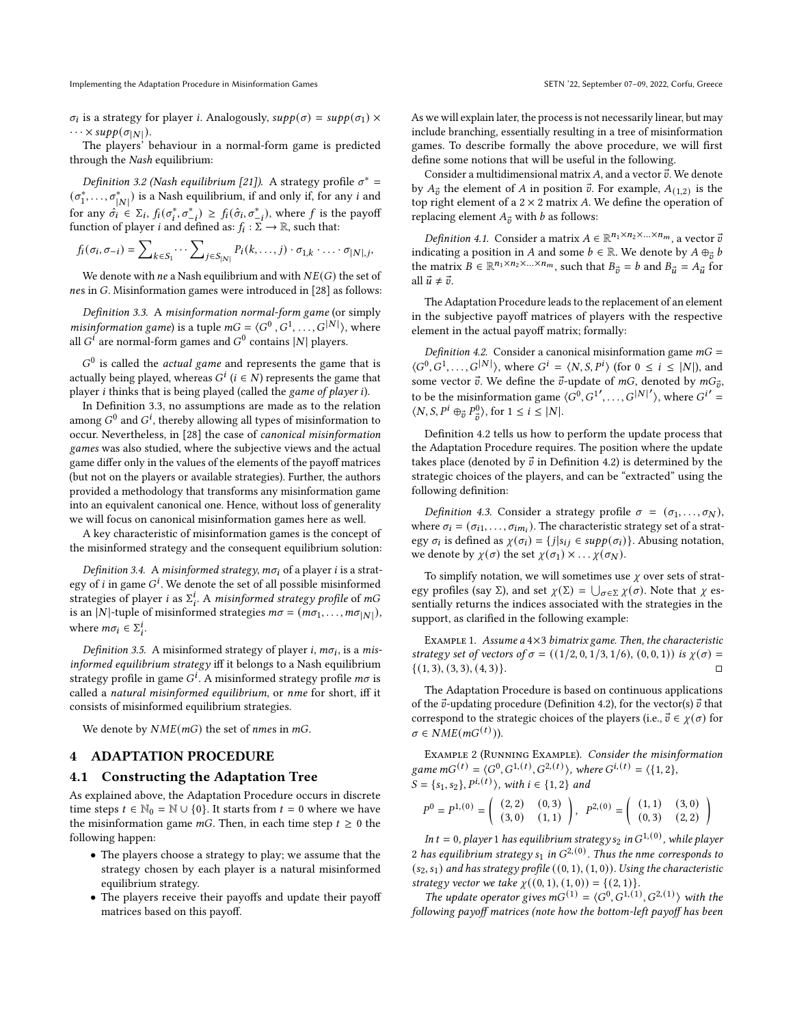$\sigma_i$  is a strategy for player *i*. Analogously,  $supp(\sigma) = supp(\sigma_1) \times$  $\cdots \times supp(\sigma_{|N|}).$ 

The players' behaviour in a normal-form game is predicted through the Nash equilibrium:

Definition 3.2 (Nash equilibrium [\[21\]](#page-9-24)). A strategy profile  $\sigma^* =$  $(\sigma_1^*, \ldots, \sigma_{|N|}^*)$  is a Nash equilibrium, if and only if, for any *i* and for any  $\hat{\sigma}_i \in \Sigma_i$ ,  $f_i(\sigma_i^*, \sigma_{-i}^*) \geq f_i(\hat{\sigma}_i, \sigma_{-i}^*)$ , where f is the payoff function of player *i* and defined as:  $f_i : \Sigma \to \mathbb{R}$ , such that:

$$
f_i(\sigma_i, \sigma_{-i}) = \sum\nolimits_{k \in S_1} \cdots \sum\nolimits_{j \in S_{|N|}} P_i(k, \ldots, j) \cdot \sigma_{1,k} \cdot \ldots \cdot \sigma_{|N|,j},
$$

We denote with  $ne$  a Nash equilibrium and with  $NE(G)$  the set of nes in  $G$ . Misinformation games were introduced in [\[28\]](#page-9-1) as follows:

<span id="page-2-1"></span>Definition 3.3. A misinformation normal-form game (or simply misinformation game) is a tuple  $mG = \langle G^0, G^1, \ldots, G^{\vert N \vert} \rangle$ , where all  $G^i$  are normal-form games and  $G^0$  contains |N| players.

 $G^0$  is called the *actual game* and represents the game that is actually being played, whereas  $G^i$  ( $i \in N$ ) represents the game that player *i* thinks that is being played (called the *game of player i*).

In Definition [3.3,](#page-2-1) no assumptions are made as to the relation among  $G^0$  and  $G^i$ , thereby allowing all types of misinformation to occur. Nevertheless, in [\[28\]](#page-9-1) the case of canonical misinformation games was also studied, where the subjective views and the actual game differ only in the values of the elements of the payoff matrices (but not on the players or available strategies). Further, the authors provided a methodology that transforms any misinformation game into an equivalent canonical one. Hence, without loss of generality we will focus on canonical misinformation games here as well.

A key characteristic of misinformation games is the concept of the misinformed strategy and the consequent equilibrium solution:

Definition 3.4. A misinformed strategy,  $m\sigma_i$  of a player i is a strategy of *i* in game  $G^i$ . We denote the set of all possible misinformed strategies of player *i* as  $\Sigma_i^i$ . A misinformed strategy profile of mG is an |N|-tuple of misinformed strategies  $m\sigma = (m\sigma_1, \ldots, m\sigma_{|N|}),$ where  $m\sigma_i \in \Sigma_i^i$ .

Definition 3.5. A misinformed strategy of player *i*,  $m\sigma_i$ , is a misinformed equilibrium strategy iff it belongs to a Nash equilibrium strategy profile in game  $G^i$ . A misinformed strategy profile  $m\sigma$  is called a natural misinformed equilibrium, or nme for short, iff it consists of misinformed equilibrium strategies.

We denote by  $NME(mG)$  the set of nmes in mG.

## <span id="page-2-0"></span>4 ADAPTATION PROCEDURE

#### 4.1 Constructing the Adaptation Tree

As explained above, the Adaptation Procedure occurs in discrete time steps  $t \in \mathbb{N}_0 = \mathbb{N} \cup \{0\}$ . It starts from  $t = 0$  where we have the misinformation game  $mG$ . Then, in each time step  $t \geq 0$  the following happen:

- The players choose a strategy to play; we assume that the strategy chosen by each player is a natural misinformed equilibrium strategy.
- The players receive their payoffs and update their payoff matrices based on this payoff.

As we will explain later, the process is not necessarily linear, but may include branching, essentially resulting in a tree of misinformation games. To describe formally the above procedure, we will first define some notions that will be useful in the following.

Consider a multidimensional matrix A, and a vector  $\vec{v}$ . We denote by  $A_{\vec{v}}$  the element of A in position  $\vec{v}$ . For example,  $A_{(1,2)}$  is the top right element of a  $2\times 2$  matrix  $A.$  We define the operation of replacing element  $A_{\vec{n}}$  with *b* as follows:

<span id="page-2-4"></span>*Definition 4.1.* Consider a matrix  $A \in \mathbb{R}^{n_1 \times n_2 \times \ldots \times n_m}$ , a vector  $\vec{v}$ indicating a position in A and some  $b \in \mathbb{R}$ . We denote by  $A \oplus_{\vec{v}} b$ the matrix  $B \in \mathbb{R}^{n_1 \times n_2 \times \ldots \times n_m}$ , such that  $B_{\vec{v}} = b$  and  $B_{\vec{u}} = A_{\vec{u}}$  for all  $\vec{u} \neq \vec{v}$ .

The Adaptation Procedure leads to the replacement of an element in the subjective payoff matrices of players with the respective element in the actual payoff matrix; formally:

<span id="page-2-2"></span>Definition 4.2. Consider a canonical misinformation game  $mG =$  $\langle G^0, G^1, \ldots, G^{|N|} \rangle$ , where  $G^i = \langle N, S, P^i \rangle$  (for  $0 \le i \le |N|$ ), and some vector  $\vec{v}$ . We define the  $\vec{v}$ -update of  $mG$ , denoted by  $mG_{\vec{v}}$ , to be the misinformation game  $\langle G^0, G^{1\prime}, \ldots, G^{|N|}{}' \rangle$ , where  $G^{i\prime}$  $\langle N, S, P^i \oplus_{\vec{v}} P^0_{\vec{v}} \rangle$ , for  $1 \le i \le |N|$ .

Definition [4.2](#page-2-2) tells us how to perform the update process that the Adaptation Procedure requires. The position where the update takes place (denoted by  $\vec{v}$  in Definition [4.2\)](#page-2-2) is determined by the strategic choices of the players, and can be "extracted" using the following definition:

Definition 4.3. Consider a strategy profile  $\sigma = (\sigma_1, \ldots, \sigma_N)$ , where  $\sigma_i = (\sigma_{i1}, \ldots, \sigma_{im_i})$ . The characteristic strategy set of a strategy  $\sigma_i$  is defined as  $\chi(\sigma_i) = \{j | s_{ij} \in \text{supp}(\sigma_i)\}\)$ . Abusing notation, we denote by  $\chi(\sigma)$  the set  $\chi(\sigma_1) \times ... \times (\sigma_N)$ .

To simplify notation, we will sometimes use  $\chi$  over sets of strategy profiles (say  $\Sigma$ ), and set  $\chi(\Sigma) = \bigcup_{\sigma \in \Sigma} \chi(\sigma)$ . Note that  $\chi$  essentially returns the indices associated with the strategies in the support, as clarified in the following example:

EXAMPLE 1. Assume a  $4\times3$  bimatrix game. Then, the characteristic strategy set of vectors of  $\sigma = ((1/2, 0, 1/3, 1/6), (0, 0, 1))$  is  $\chi(\sigma) =$  $\{(1, 3), (3, 3), (4, 3)\}.$ 

The Adaptation Procedure is based on continuous applications of the  $\vec{v}$ -updating procedure (Definition [4.2\)](#page-2-2), for the vector(s)  $\vec{v}$  that correspond to the strategic choices of the players (i.e.,  $\vec{v} \in \chi(\sigma)$  for  $\sigma \in NME(mG^{(t)}).$ 

<span id="page-2-3"></span>Example 2 (Running Example). Consider the misinformation game  $mG^{(t)} = \langle G^0, G^{1,(t)}, G^{2,(t)} \rangle$ , where  $G^{i,(t)} = \langle \{1, 2\}, \{1, 2\} \rangle$  $S = \{s_1, s_2\}, P^{i,(t)}\rangle$ , with  $i \in \{1, 2\}$  and

$$
P^0 = P^{1,(0)} = \begin{pmatrix} (2,2) & (0,3) \\ (3,0) & (1,1) \end{pmatrix}, P^{2,(0)} = \begin{pmatrix} (1,1) & (3,0) \\ (0,3) & (2,2) \end{pmatrix}
$$

In t = 0, player 1 has equilibrium strategy s $_2$  in  $G^{1,(0)}$  , while player 2 has equilibrium strategy  $s_1$  in  $G^{2,(0)}$ . Thus the nme corresponds to  $(s_2, s_1)$  and has strategy profile  $((0, 1), (1, 0))$ . Using the characteristic strategy vector we take  $\chi((0, 1), (1, 0)) = \{(2, 1)\}.$ 

The update operator gives  $mG^{(1)} = \langle G^0, G^{1,(1)}, G^{2,(1)} \rangle$  with the following payoff matrices (note how the bottom-left payoff has been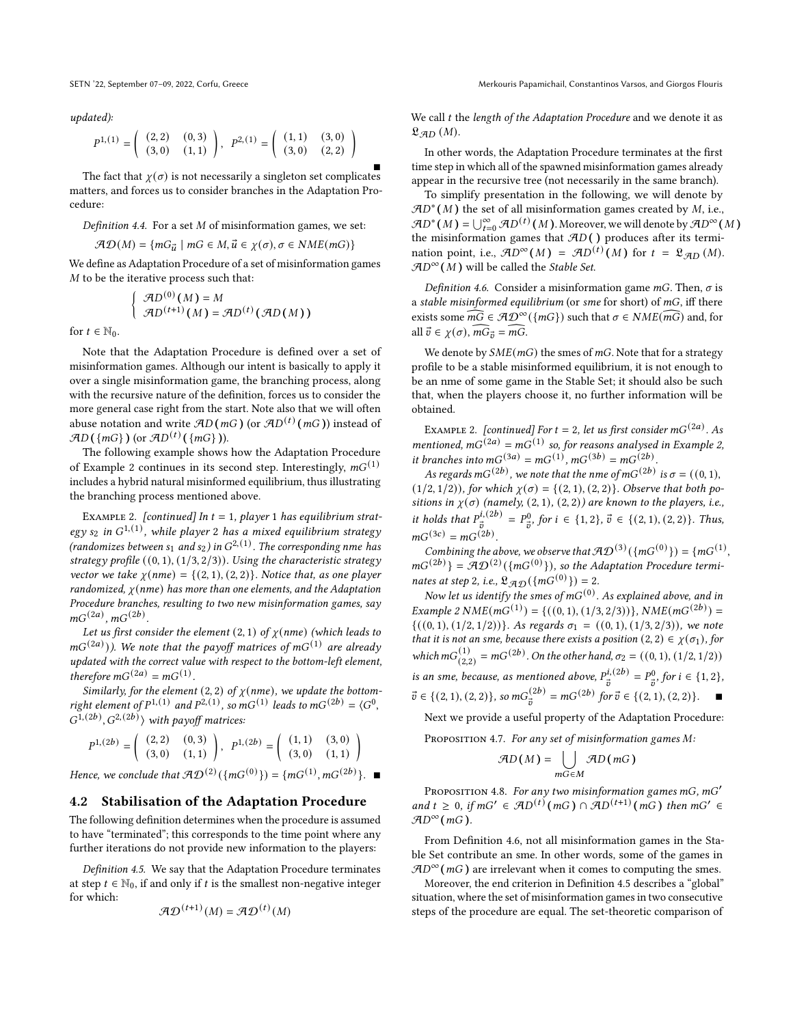SETN '22, September 07-09, 2022, Corfu, Greece Merkouris Papamichail, Constantinos Varsos, and Giorgos Flouris

updated):

$$
P^{1,(1)} = \left( \begin{array}{cc} (2,2) & (0,3) \\ (3,0) & (1,1) \end{array} \right), \ \ P^{2,(1)} = \left( \begin{array}{cc} (1,1) & (3,0) \\ (3,0) & (2,2) \end{array} \right)
$$

■ The fact that  $\chi(\sigma)$  is not necessarily a singleton set complicates matters, and forces us to consider branches in the Adaptation Procedure:

<span id="page-3-2"></span>Definition 4.4. For a set  $M$  of misinformation games, we set:

$$
\mathcal{A}\mathcal{D}(M) = \{mG_{\vec{u}} \mid mG \in M, \vec{u} \in \chi(\sigma), \sigma \in NME(mG)\}\
$$

We define as Adaptation Procedure of a set of misinformation games  $M$  to be the iterative process such that:

$$
\begin{cases}\n\mathcal{A}D^{(0)}(M) = M \\
\mathcal{A}D^{(t+1)}(M) = \mathcal{A}D^{(t)}(\mathcal{A}D(M))\n\end{cases}
$$

for  $t \in \mathbb{N}_0$ .

Note that the Adaptation Procedure is defined over a set of misinformation games. Although our intent is basically to apply it over a single misinformation game, the branching process, along with the recursive nature of the definition, forces us to consider the more general case right from the start. Note also that we will often abuse notation and write  $\mathcal{A}D(mG)$  (or  $\mathcal{A}D^{(t)}(mG)$ ) instead of  $\mathcal{A}D(\lbrace mG \rbrace)$  (or  $\mathcal{A}D^{(t)}(\lbrace mG \rbrace)$ ).

The following example shows how the Adaptation Procedure of Example [2](#page-2-3) continues in its second step. Interestingly,  $mG^{(1)}$ includes a hybrid natural misinformed equilibrium, thus illustrating the branching process mentioned above.

EXAMPLE 2. [continued] In  $t = 1$ , player 1 has equilibrium strategy  $s_2$  in  $G^{1,(1)}$ , while player 2 has a mixed equilibrium strategy (randomizes between  $s_1$  and  $s_2$ ) in  $G^{2,(1)}$ . The corresponding nme has strategy profile  $((0, 1), (1/3, 2/3))$ . Using the characteristic strategy vector we take  $\chi(nme) = \{(2, 1), (2, 2)\}\.$  Notice that, as one player randomized,  $\chi$ (nme) has more than one elements, and the Adaptation Procedure branches, resulting to two new misinformation games, say  $mG^{(2a)}$ ,  $mG^{(2b)}$ .

Let us first consider the element (2, 1) of  $\chi$ (nme) (which leads to  $mG^{(2a)}$ )). We note that the payoff matrices of  $mG^{(1)}$  are already updated with the correct value with respect to the bottom-left element, therefore  $mG^{(2a)} = mG^{(1)}$ .

Similarly, for the element (2, 2) of  $\chi$ (nme), we update the bottomright element of  $P^{1,(1)}$  and  $P^{2,(1)}$ , so  $mG^{(1)}$  leads to  $mG^{(2b)} = \langle G^0, \rangle$  $\widetilde{G}^{1,(2b)},\widetilde{G}^{2,(2b)}$  with payoff matrices:

$$
P^{1,(2b)} = \begin{pmatrix} (2,2) & (0,3) \\ (3,0) & (1,1) \end{pmatrix}, P^{1,(2b)} = \begin{pmatrix} (1,1) & (3,0) \\ (3,0) & (1,1) \end{pmatrix}
$$

Hence, we conclude that  $\mathcal{AD}^{(2)}(\lbrace mG^{(0)} \rbrace) = \lbrace mG^{(1)}, mG^{(2b)} \rbrace$ .

#### 4.2 Stabilisation of the Adaptation Procedure

The following definition determines when the procedure is assumed to have "terminated"; this corresponds to the time point where any further iterations do not provide new information to the players:

<span id="page-3-1"></span>Definition 4.5. We say that the Adaptation Procedure terminates at step  $t \in \mathbb{N}_0$ , if and only if t is the smallest non-negative integer for which:

$$
\mathcal{A}\mathcal{D}^{(t+1)}(M) = \mathcal{A}\mathcal{D}^{(t)}(M)
$$

We call  $t$  the length of the Adaptation Procedure and we denote it as  $\mathfrak{L}_{AD}$  (*M*).

In other words, the Adaptation Procedure terminates at the first time step in which all of the spawned misinformation games already appear in the recursive tree (not necessarily in the same branch).

To simplify presentation in the following, we will denote by  $\mathcal{A}D^*(M)$  the set of all misinformation games created by M, i.e.,  $\mathcal{A}D^*(M)=\bigcup_{t=0}^\infty \mathcal{A}D^{(t)}(M)$ . Moreover, we will denote by  $\mathcal{A}D^\infty(M)$ the misinformation games that  $AD($  ) produces after its termination point, i.e.,  $\mathcal{A}D^{\infty}(M) = \mathcal{A}D^{(t)}(M)$  for  $t = \mathfrak{L}_{\mathcal{A}D}(M)$ .  $\mathcal{A}D^{\infty}(M)$  will be called the Stable Set.

<span id="page-3-0"></span>Definition 4.6. Consider a misinformation game  $mG$ . Then,  $\sigma$  is a stable misinformed equilibrium (or sme for short) of  $mG$ , iff there exists some  $m\overline{G} \in \mathcal{A}D^{\infty}(\{mG\})$  such that  $\sigma \in NME(\overline{mG})$  and, for all  $\vec{v} \in \chi(\sigma)$ ,  $m\vec{G}_{\vec{v}} = m\vec{G}$ .

We denote by  $SME(mG)$  the smes of mG. Note that for a strategy profile to be a stable misinformed equilibrium, it is not enough to be an nme of some game in the Stable Set; it should also be such that, when the players choose it, no further information will be obtained.

EXAMPLE 2. [continued] For  $t=2$ , let us first consider m $G^{(2a)}$ . As mentioned,  $mG^{(2a)} = mG^{(1)}$  so, for reasons analysed in Example [2,](#page-2-3) it branches into  $mG^{(3a)} = mG^{(1)}$ ,  $mG^{(3b)} = mG^{(2b)}$ .

As regards mG<sup>(2b)</sup>, we note that the nme of mG<sup>(2b)</sup> is  $\sigma = ((0, 1),$  $(1/2, 1/2)$ , for which  $\chi(\sigma) = \{(2, 1), (2, 2)\}\)$ . Observe that both positions in  $\chi(\sigma)$  (namely, (2, 1), (2, 2)) are known to the players, i.e., it holds that  $P_{\vec{n}}^{i,(2b)}$  $\vec{v}^{(2b)}_{\vec{v}} = P_{\vec{v}}^0$ , for  $i \in \{1, 2\}$ ,  $\vec{v} \in \{(2, 1), (2, 2)\}$ . Thus,  $mG^{(3c)} = mG^{(2b)}$ .

Combining the above, we observe that  $\mathcal{A}\mathcal{D}^{(3)}(\lbrace mG^{(0)} \rbrace) = \lbrace mG^{(1)},$  $mG^{(2b)}$ } =  $\mathcal{A}\mathcal{D}^{(2)}(\lbrace mG^{(0)} \rbrace)$ , so the Adaptation Procedure terminates at step 2, i.e.,  $\mathfrak{L}_{\mathcal{A}|\mathcal{D}}(\{mG^{(0)}\})=2$ .

Now let us identify the smes of  $mG^{(0)}$ . As explained above, and in Example [2](#page-2-3) NME( $mG^{(1)}$ ) = {((0, 1), (1/3, 2/3))}, NME( $mG^{(2b)}$ ) =  $\{((0, 1), (1/2, 1/2))\}$ . As regards  $\sigma_1 = ((0, 1), (1/3, 2/3))$ , we note that it is not an sme, because there exists a position  $(2, 2) \in \chi(\sigma_1)$ , for which  $mG_{(2,2)}^{(1)} = mG^{(2b)}$ . On the other hand,  $\sigma_2 = ((0, 1), (1/2, 1/2))$ is an sme, because, as mentioned above,  $P_{\vec{\sigma}}^{i,(2b)}$  $\frac{i}{\vec{v}}$ ,  $\frac{(2b)}{(\vec{v})} = P_{\vec{v}}^0$ , for  $i \in \{1, 2\}$ ,  $\vec{v} \in \{(2, 1), (2, 2)\}\$ , so  $mG_{\vec{v}}^{(2b)} = mG^{(2b)}$  for  $\vec{v} \in \{(2, 1), (2, 2)\}\$ .

Next we provide a useful property of the Adaptation Procedure:

PROPOSITION 4.7. For any set of misinformation games  $M$ :

$$
\mathcal{A}D(M)=\bigcup_{mG\in M}\mathcal{A}D(mG)
$$

PROPOSITION 4.8. For any two misinformation games  $mG$ ,  $mG'$ and  $t \geq 0$ , if  $mG' \in \mathcal{A}D^{(t)}(mG) \cap \mathcal{A}D^{(t+1)}(mG)$  then  $mG' \in$  $\mathcal{A}D^{\infty}(mG)$ .

From Definition [4.6,](#page-3-0) not all misinformation games in the Stable Set contribute an sme. In other words, some of the games in  $\mathcal{A}D^{\infty}(mG)$  are irrelevant when it comes to computing the smes.

Moreover, the end criterion in Definition [4.5](#page-3-1) describes a "global" situation, where the set of misinformation games in two consecutive steps of the procedure are equal. The set-theoretic comparison of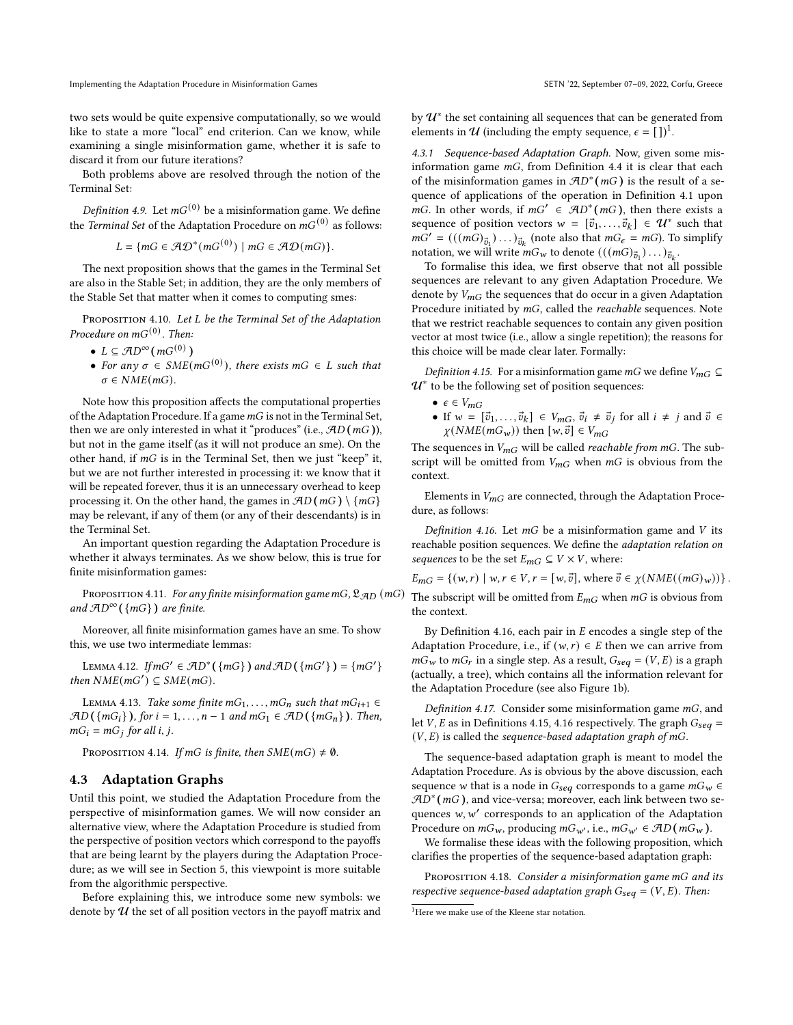two sets would be quite expensive computationally, so we would like to state a more "local" end criterion. Can we know, while examining a single misinformation game, whether it is safe to discard it from our future iterations?

Both problems above are resolved through the notion of the Terminal Set:

<span id="page-4-5"></span>Definition 4.9. Let  $mG^{(0)}$  be a misinformation game. We define the *Terminal Set* of the Adaptation Procedure on  $\overline{m}G^{(0)}$  as follows:

$$
L = \{ mG \in \mathcal{AD}^*(mG^{(0)}) \mid mG \in \mathcal{AD}(mG) \}.
$$

The next proposition shows that the games in the Terminal Set are also in the Stable Set; in addition, they are the only members of the Stable Set that matter when it comes to computing smes:

<span id="page-4-6"></span>PROPOSITION 4.10. Let L be the Terminal Set of the Adaptation Procedure on m $G^{(0)}$ . Then:

- $L \subseteq \mathcal{A}D^{\infty}(mG^{(0)})$
- For any  $\sigma \in SME(mG^{(0)})$ , there exists  $mG \in L$  such that  $\sigma \in NME(mG)$ .

Note how this proposition affects the computational properties of the Adaptation Procedure. If a game  $mG$  is not in the Terminal Set, then we are only interested in what it "produces" (i.e.,  $AD(mG)$ ), but not in the game itself (as it will not produce an sme). On the other hand, if  $mG$  is in the Terminal Set, then we just "keep" it, but we are not further interested in processing it: we know that it will be repeated forever, thus it is an unnecessary overhead to keep processing it. On the other hand, the games in  $AD(mG) \setminus \{mG\}$ may be relevant, if any of them (or any of their descendants) is in the Terminal Set.

An important question regarding the Adaptation Procedure is whether it always terminates. As we show below, this is true for finite misinformation games:

<span id="page-4-7"></span>PROPOSITION 4.11. For any finite misinformation game mG,  $\mathfrak{L}_{AD}$  (mG) and  $\mathcal{A}D^{\infty}(\{mG\})$  are finite.

Moreover, all finite misinformation games have an sme. To show this, we use two intermediate lemmas:

LEMMA 4.12. If  $mG' \in \mathcal{A}D^*(\{mG\})$  and  $\mathcal{A}D(\{mG'\}) = \{mG'\}$ then  $NME(mG') \subseteq SME(mG)$ .

LEMMA 4.13. Take some finite  $mG_1, \ldots, mG_n$  such that  $mG_{i+1} \in$  $\mathcal{A}D(\lbrace mG_i\rbrace)$ , for  $i = 1, \ldots, n-1$  and  $mG_1 \in \mathcal{A}D(\lbrace mG_n\rbrace)$ . Then,  $mG_i = mG_j$  for all i, j.

PROPOSITION 4.14. If  $mG$  is finite, then  $SME(mG) \neq \emptyset$ .

#### <span id="page-4-4"></span>4.3 Adaptation Graphs

Until this point, we studied the Adaptation Procedure from the perspective of misinformation games. We will now consider an alternative view, where the Adaptation Procedure is studied from the perspective of position vectors which correspond to the payoffs that are being learnt by the players during the Adaptation Procedure; as we will see in Section [5,](#page-5-0) this viewpoint is more suitable from the algorithmic perspective.

Before explaining this, we introduce some new symbols: we denote by  $U$  the set of all position vectors in the payoff matrix and by  $\mathcal{U}^*$  the set containing all sequences that can be generated from elements in  $\mathcal U$  (including the empty sequence,  $\epsilon = []^1$  $\epsilon = []^1$ .

4.3.1 Sequence-based Adaptation Graph. Now, given some misinformation game  $mG$ , from Definition [4.4](#page-3-2) it is clear that each of the misinformation games in  $AD^*(mG)$  is the result of a sequence of applications of the operation in Definition [4.1](#page-2-4) upon mG. In other words, if  $mG' \in \mathcal{A}D^*(mG)$ , then there exists a sequence of position vectors  $w = [\vec{v}_1, \ldots, \vec{v}_k] \in \mathcal{U}^*$  such that  $m\tilde{G}' = (((m\tilde{G})_{\vec{v}_1}) \dots)_{\vec{v}_k}$  (note also that  $mG_{\epsilon} = mG$ ). To simplify notation, we will write  $mG_w$  to denote  $(((mG)_{\vec{v}_1}) \dots)_{\vec{v}_k}$ .

To formalise this idea, we first observe that not all possible sequences are relevant to any given Adaptation Procedure. We denote by  $V_{mG}$  the sequences that do occur in a given Adaptation Procedure initiated by  $mG$ , called the *reachable* sequences. Note that we restrict reachable sequences to contain any given position vector at most twice (i.e., allow a single repetition); the reasons for this choice will be made clear later. Formally:

<span id="page-4-2"></span>Definition 4.15. For a misinformation game  $mG$  we define  $V_{mG} \subseteq$  $U^*$  to be the following set of position sequences:

- $\epsilon \in V_{mG}$
- If  $w = [\vec{v}_1, ..., \vec{v}_k] \in V_{mG}, \vec{v}_i \neq \vec{v}_j$  for all  $i \neq j$  and  $\vec{v} \in$  $\chi(NME(mG_w))$  then  $[w, \vec{v}] \in V_{mG}$

The sequences in  $V_{mG}$  will be called *reachable from mG*. The subscript will be omitted from  $V_{mG}$  when  $mG$  is obvious from the context.

Elements in  $V_{mG}$  are connected, through the Adaptation Procedure, as follows:

<span id="page-4-1"></span>Definition 4.16. Let  $mG$  be a misinformation game and V its reachable position sequences. We define the adaptation relation on sequences to be the set  $E_{mG} \subseteq V \times V$ , where:

$$
E_{mG} = \{ (w, r) \mid w, r \in V, r = [w, \vec{v}], \text{ where } \vec{v} \in \chi(NME((mG)_w)) \}.
$$

The subscript will be omitted from  $E_{mG}$  when  $mG$  is obvious from the context.

By Definition [4.16,](#page-4-1) each pair in  $E$  encodes a single step of the Adaptation Procedure, i.e., if  $(w, r) \in E$  then we can arrive from  $mG_w$  to  $mG_r$  in a single step. As a result,  $G_{seq} = (V, E)$  is a graph (actually, a tree), which contains all the information relevant for the Adaptation Procedure (see also Figure [1b\)](#page-5-1).

Definition 4.17. Consider some misinformation game  $mG$ , and let *V*, *E* as in Definitions [4.15,](#page-4-2) [4.16](#page-4-1) respectively. The graph  $G_{seq}$  =  $(V, E)$  is called the sequence-based adaptation graph of mG.

The sequence-based adaptation graph is meant to model the Adaptation Procedure. As is obvious by the above discussion, each sequence *w* that is a node in  $G_{seq}$  corresponds to a game  $mG_w \in$  $\overline{\mathcal{A}D}^*(\mathit{mG})$ , and vice-versa; moreover, each link between two sequences w, w' corresponds to an application of the Adaptation Procedure on  $mG_w$ , producing  $mG_{w'}$ , i.e.,  $mG_{w'} \in AD(mG_w)$ .

We formalise these ideas with the following proposition, which clarifies the properties of the sequence-based adaptation graph:

<span id="page-4-3"></span>PROPOSITION 4.18. Consider a misinformation game mG and its respective sequence-based adaptation graph  $G_{seq} = (V, E)$ . Then:

<span id="page-4-0"></span> $^{\rm 1}$  Here we make use of the Kleene star notation.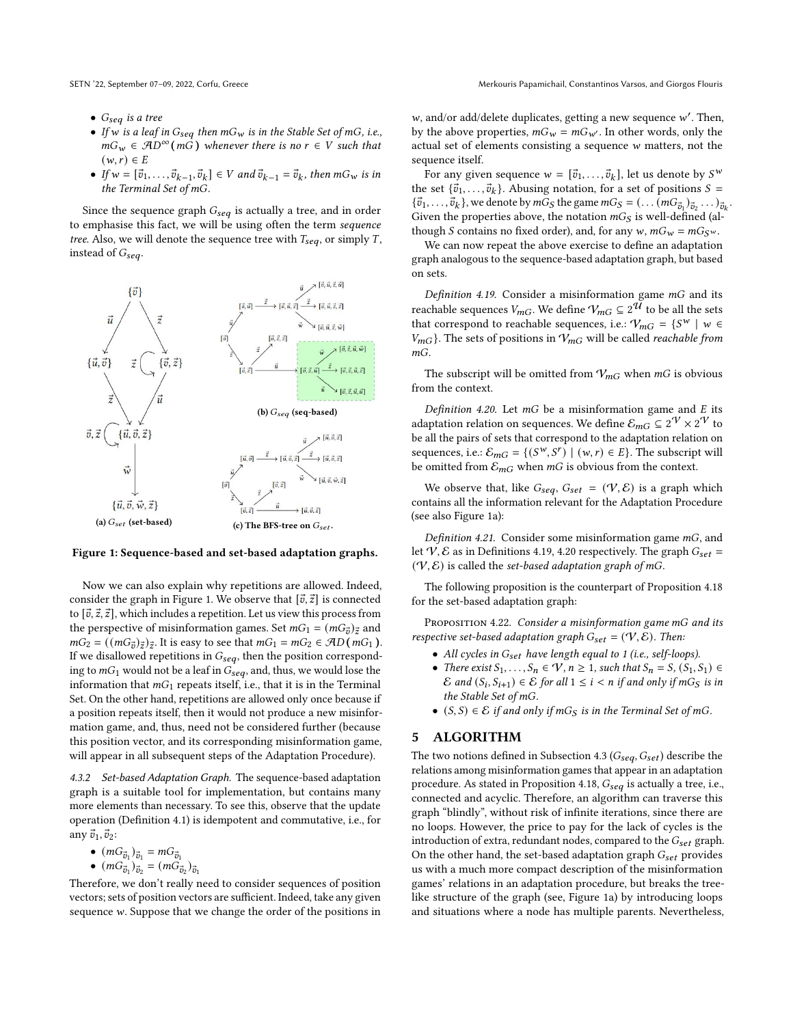- $G_{\text{seq}}$  is a tree
- If w is a leaf in  $G_{seq}$  then  $mG_w$  is in the Stable Set of mG, i.e.,  $mG_w \in \mathcal{A}D^{\infty}(m\hat{G})$  whenever there is no  $r \in V$  such that  $(w, r) \in E$
- If  $w = [\vec{v}_1, ..., \vec{v}_{k-1}, \vec{v}_k] \in V$  and  $\vec{v}_{k-1} = \vec{v}_k$ , then  $mG_w$  is in the Terminal Set of  $mG$ .

Since the sequence graph  $G_{seq}$  is actually a tree, and in order to emphasise this fact, we will be using often the term sequence tree. Also, we will denote the sequence tree with  $T_{seq}$ , or simply  $T$ , instead of  $G_{\text{seq}}$ .

<span id="page-5-3"></span><span id="page-5-2"></span><span id="page-5-1"></span>

Figure 1: Sequence-based and set-based adaptation graphs.

Now we can also explain why repetitions are allowed. Indeed, consider the graph in Figure [1.](#page-5-2) We observe that  $[\vec{v}, \vec{z}]$  is connected to  $[\vec{v}, \vec{z}, \vec{z}]$ , which includes a repetition. Let us view this process from the perspective of misinformation games. Set  $mG_1 = (mG_{\vec{v}})_{\vec{z}}$  and  $mG_2 = ((mG_{\vec{v}})_{\vec{z}})_{\vec{z}}$ . It is easy to see that  $mG_1 = mG_2 \in \mathcal{A}D(mG_1)$ . If we disallowed repetitions in  $G_{seq}$ , then the position corresponding to  $mG_1$  would not be a leaf in  $G_{seq}$ , and, thus, we would lose the information that  $mG_1$  repeats itself, i.e., that it is in the Terminal Set. On the other hand, repetitions are allowed only once because if a position repeats itself, then it would not produce a new misinformation game, and, thus, need not be considered further (because this position vector, and its corresponding misinformation game, will appear in all subsequent steps of the Adaptation Procedure).

4.3.2 Set-based Adaptation Graph. The sequence-based adaptation graph is a suitable tool for implementation, but contains many more elements than necessary. To see this, observe that the update operation (Definition [4.1\)](#page-2-4) is idempotent and commutative, i.e., for any  $\vec{v}_1, \vec{v}_2$ :

$$
\bullet \ (mG_{\vec{v}_1})_{\vec{v}_1} = mG_{\vec{v}_1}
$$

• 
$$
(mG_{\vec{v}_1})_{\vec{v}_2} = (mG_{\vec{v}_2})_{\vec{v}_1}
$$

Therefore, we don't really need to consider sequences of position vectors; sets of position vectors are sufficient. Indeed, take any given sequence  $w$ . Suppose that we change the order of the positions in

w, and/or add/delete duplicates, getting a new sequence  $w'$ . Then, by the above properties,  $mG_w = mG_{w'}$ . In other words, only the actual set of elements consisting a sequence w matters, not the sequence itself.

For any given sequence  $w = [\vec{v}_1, \ldots, \vec{v}_k]$ , let us denote by  $S^w$ the set  $\{\vec{v}_1, \ldots, \vec{v}_k\}$ . Abusing notation, for a set of positions  $S =$  $\{\vec{v}_1,\ldots,\vec{v}_k\}$ , we denote by  $mG_S$  the game  $mG_S = (\ldots (mG_{\vec{v}_1})_{\vec{v}_2} \ldots)_{\vec{v}_k}$ . Given the properties above, the notation  $mG<sub>S</sub>$  is well-defined (although *S* contains no fixed order), and, for any  $w$ ,  $mG_w = mG_Sw$ .

We can now repeat the above exercise to define an adaptation graph analogous to the sequence-based adaptation graph, but based on sets.

<span id="page-5-4"></span>Definition 4.19. Consider a misinformation game  $mG$  and its reachable sequences  $V_{mG}$ . We define  $V_{mG} \subseteq 2^{\mathcal{U}}$  to be all the sets that correspond to reachable sequences, i.e.:  $V_{mG} = \{S^w \mid w \in$  $V_{mG}$ . The sets of positions in  $V_{mG}$  will be called *reachable from*  $mG$ 

The subscript will be omitted from  $V_{mG}$  when  $mG$  is obvious from the context.

<span id="page-5-5"></span>Definition 4.20. Let  $mG$  be a misinformation game and  $E$  its adaptation relation on sequences. We define  $\mathcal{E}_{mG}\subseteq 2^\mathcal{V}\times 2^\mathcal{V}$  to be all the pairs of sets that correspond to the adaptation relation on sequences, i.e.:  $\mathcal{E}_{mG} = \{ (S^w, S^r) \mid (w, r) \in E \}$ . The subscript will be omitted from  $\mathcal{E}_{m}$  when  $m$ G is obvious from the context.

We observe that, like  $G_{seq}$ ,  $G_{set} = (\mathcal{V}, \mathcal{E})$  is a graph which contains all the information relevant for the Adaptation Procedure (see also Figure [1a\)](#page-5-3):

Definition 4.21. Consider some misinformation game  $mG$ , and let V, E as in Definitions [4.19,](#page-5-4) [4.20](#page-5-5) respectively. The graph  $G_{set}$  =  $(V, \mathcal{E})$  is called the set-based adaptation graph of mG.

The following proposition is the counterpart of Proposition [4.18](#page-4-3) for the set-based adaptation graph:

PROPOSITION 4.22. Consider a misinformation game mG and its respective set-based adaptation graph  $G_{set} = (\mathcal{V}, \mathcal{E})$ . Then:

- All cycles in  $G_{\text{set}}$  have length equal to 1 (i.e., self-loops).
- There exist  $S_1, \ldots, S_n \in \mathcal{V}, n \geq 1$ , such that  $S_n = S$ ,  $(S_1, S_1) \in$  $\mathcal E$  and  $(S_i, S_{i+1}) \in \mathcal E$  for all  $1 \leq i < n$  if and only if  $mG_S$  is in the Stable Set of mG.
- $(S, S) \in \mathcal{E}$  if and only if mG<sub>S</sub> is in the Terminal Set of mG.

## <span id="page-5-0"></span>5 ALGORITHM

The two notions defined in Subsection [4.3](#page-4-4) ( $G_{seq}$ ,  $G_{set}$ ) describe the relations among misinformation games that appear in an adaptation procedure. As stated in Proposition [4.18,](#page-4-3)  $G_{seq}$  is actually a tree, i.e., connected and acyclic. Therefore, an algorithm can traverse this graph "blindly", without risk of infinite iterations, since there are no loops. However, the price to pay for the lack of cycles is the introduction of extra, redundant nodes, compared to the  $G_{set}$  graph. On the other hand, the set-based adaptation graph  $G_{set}$  provides us with a much more compact description of the misinformation games' relations in an adaptation procedure, but breaks the treelike structure of the graph (see, Figure [1a\)](#page-5-3) by introducing loops and situations where a node has multiple parents. Nevertheless,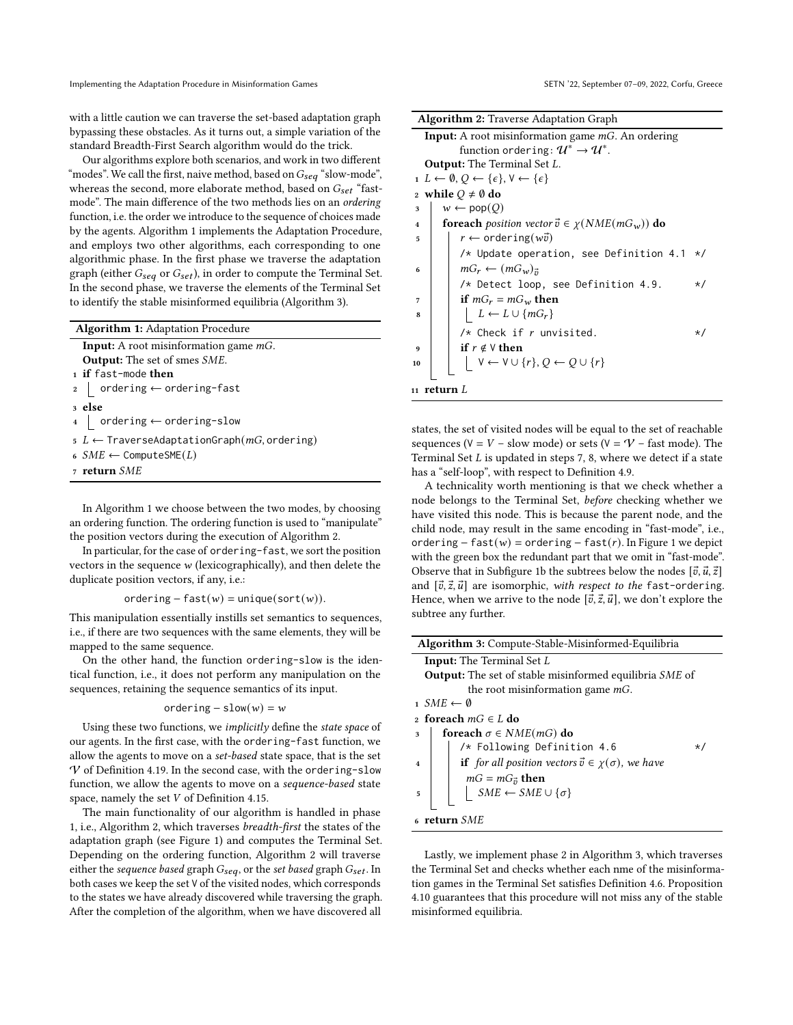with a little caution we can traverse the set-based adaptation graph bypassing these obstacles. As it turns out, a simple variation of the standard Breadth-First Search algorithm would do the trick.

Our algorithms explore both scenarios, and work in two different "modes". We call the first, naive method, based on  $G_{\it seq}$  "slow-mode", whereas the second, more elaborate method, based on  $G_{set}$  "fastmode". The main difference of the two methods lies on an ordering function, i.e. the order we introduce to the sequence of choices made by the agents. Algorithm [1](#page-6-0) implements the Adaptation Procedure, and employs two other algorithms, each corresponding to one algorithmic phase. In the first phase we traverse the adaptation graph (either  $G_{seq}$  or  $G_{set}$ ), in order to compute the Terminal Set. In the second phase, we traverse the elements of the Terminal Set to identify the stable misinformed equilibria (Algorithm [3\)](#page-6-1).

<span id="page-6-0"></span>

| <b>Algorithm 1:</b> Adaptation Procedure                   |
|------------------------------------------------------------|
| <b>Input:</b> A root misinformation game $mG$ .            |
| <b>Output:</b> The set of smes <i>SME</i> .                |
| 1 if fast-mode then                                        |
| $2$ ordering $\leftarrow$ ordering-fast                    |
| 3 else                                                     |
| 4   ordering $\leftarrow$ ordering-slow                    |
| $5 L \leftarrow$ TraverseAdaptationGraph( $mG$ , ordering) |
| 6 $SME$ ← ComputeSME( <i>L</i> )                           |
| $\sigma$ return $SME$                                      |

In Algorithm [1](#page-6-0) we choose between the two modes, by choosing an ordering function. The ordering function is used to "manipulate" the position vectors during the execution of Algorithm [2.](#page-6-2)

In particular, for the case of ordering-fast, we sort the position vectors in the sequence  $w$  (lexicographically), and then delete the duplicate position vectors, if any, i.e.:

ordering – fast( $w$ ) = unique(sort( $w$ )).

This manipulation essentially instills set semantics to sequences, i.e., if there are two sequences with the same elements, they will be mapped to the same sequence.

On the other hand, the function ordering-slow is the identical function, i.e., it does not perform any manipulation on the sequences, retaining the sequence semantics of its input.

$$
ordering - slow(w) = w
$$

Using these two functions, we implicitly define the state space of our agents. In the first case, with the ordering-fast function, we allow the agents to move on a set-based state space, that is the set  $V$  of Definition [4.19.](#page-5-4) In the second case, with the ordering-slow function, we allow the agents to move on a sequence-based state space, namely the set  $V$  of Definition [4.15.](#page-4-2)

The main functionality of our algorithm is handled in phase 1, i.e., Algorithm [2,](#page-6-2) which traverses breadth-first the states of the adaptation graph (see Figure [1\)](#page-5-2) and computes the Terminal Set. Depending on the ordering function, Algorithm [2](#page-6-2) will traverse either the sequence based graph  $G_{seq}$ , or the set based graph  $G_{set}$ . In both cases we keep the set V of the visited nodes, which corresponds to the states we have already discovered while traversing the graph. After the completion of the algorithm, when we have discovered all

<span id="page-6-5"></span><span id="page-6-2"></span>

| <b>Algorithm 2:</b> Traverse Adaptation Graph                                            |
|------------------------------------------------------------------------------------------|
| <b>Input:</b> A root misinformation game $mG$ . An ordering                              |
| function ordering: $\mathcal{U}^* \to \mathcal{U}^*$ .                                   |
| <b>Output:</b> The Terminal Set L.                                                       |
| $1 L \leftarrow \emptyset, Q \leftarrow {\epsilon}, V \leftarrow {\epsilon}$             |
| 2 while $Q \neq \emptyset$ do                                                            |
| $w \leftarrow \text{pop}(Q)$<br>3                                                        |
| <b>foreach</b> position vector $\vec{v} \in \gamma(NME(mG_w))$ <b>do</b><br>$\mathbf{4}$ |
| $r \leftarrow$ ordering( $w\vec{v}$ )<br>5                                               |
| /* Update operation, see Definition 4.1<br>$\star/$                                      |
| $mG_r \leftarrow (mG_w)_{\vec{n}}$<br>6                                                  |
| $/*$ Detect loop, see Definition 4.9.<br>$\star/$                                        |
| if $mG_r = mG_w$ then<br>7                                                               |
| $\vert L \leftarrow L \cup \{mG_r\}$<br>8                                                |
| /* Check if $r$ unvisited.<br>$\star/$                                                   |
| if $r \notin V$ then<br>9                                                                |
| $  V \leftarrow V \cup \{r\}, Q \leftarrow Q \cup \{r\}$<br>10                           |
| 11 return $L$                                                                            |

<span id="page-6-4"></span><span id="page-6-3"></span>states, the set of visited nodes will be equal to the set of reachable sequences ( $V = V -$  slow mode) or sets ( $V = V -$  fast mode). The Terminal Set  $L$  is updated in steps [7,](#page-6-3) [8,](#page-6-4) where we detect if a state has a "self-loop", with respect to Definition [4.9.](#page-4-5)

A technicality worth mentioning is that we check whether a node belongs to the Terminal Set, before checking whether we have visited this node. This is because the parent node, and the child node, may result in the same encoding in "fast-mode", i.e., ordering – fast(w) = ordering – fast(r). In Figure [1](#page-5-2) we depict with the green box the redundant part that we omit in "fast-mode". Observe that in Subfigure [1b](#page-5-1) the subtrees below the nodes  $[\vec{v}, \vec{u}, \vec{z}]$ and  $[\vec{v}, \vec{z}, \vec{u}]$  are isomorphic, with respect to the fast-ordering. Hence, when we arrive to the node  $[\vec{v}, \vec{z}, \vec{u}]$ , we don't explore the subtree any further.

<span id="page-6-1"></span>

| Algorithm 3: Compute-Stable-Misinformed-Equilibria                      |
|-------------------------------------------------------------------------|
| <b>Input:</b> The Terminal Set L                                        |
| <b>Output:</b> The set of stable misinformed equilibria <i>SME</i> of   |
| the root misinformation game $mG$ .                                     |
| $1$ SME $\leftarrow$ 0                                                  |
| 2 foreach $mG \in L$ do                                                 |
| foreach $\sigma \in NME(mG)$ do<br>3                                    |
| /* Following Definition 4.6<br>$\star/$                                 |
| <b>if</b> for all position vectors $\vec{v} \in \chi(\sigma)$ , we have |
| $mG = mG_{\vec{n}}$ then                                                |
| $\vert$ SME $\leftarrow$ SME $\cup$ { $\sigma$ }<br>5                   |
|                                                                         |
| 6 return $SME$                                                          |

Lastly, we implement phase 2 in Algorithm [3,](#page-6-1) which traverses the Terminal Set and checks whether each nme of the misinformation games in the Terminal Set satisfies Definition [4.6.](#page-3-0) Proposition [4.10](#page-4-6) guarantees that this procedure will not miss any of the stable misinformed equilibria.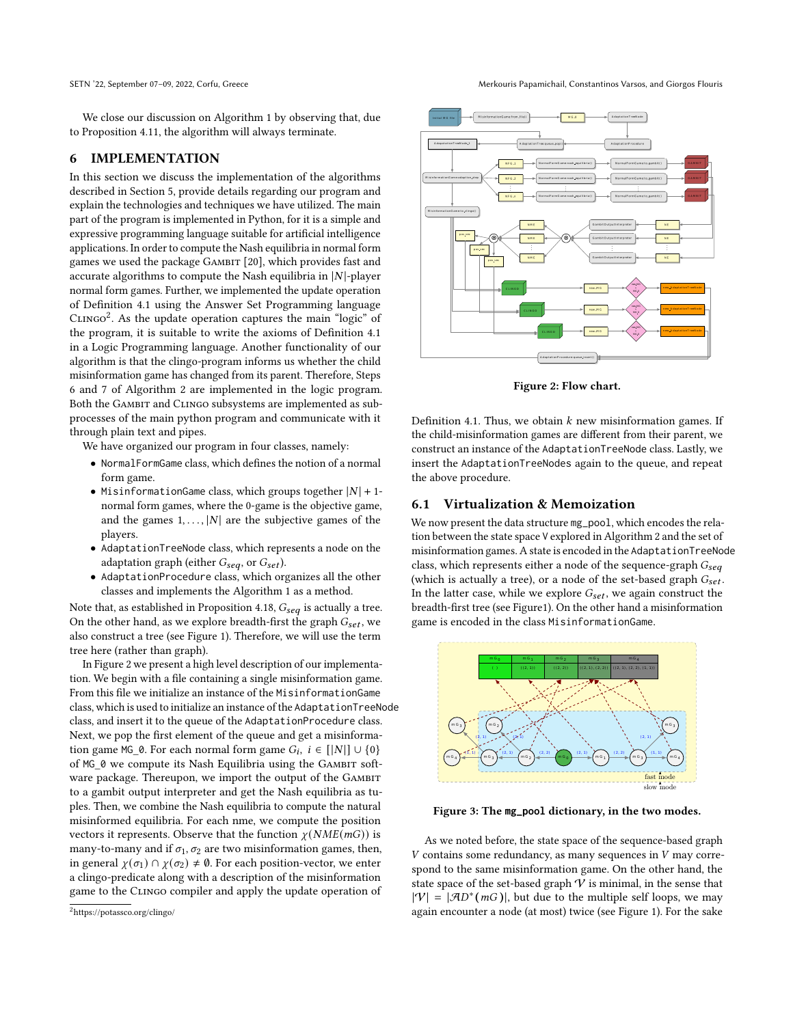We close our discussion on Algorithm [1](#page-6-0) by observing that, due to Proposition [4.11,](#page-4-7) the algorithm will always terminate.

## <span id="page-7-0"></span>6 IMPLEMENTATION

In this section we discuss the implementation of the algorithms described in Section [5,](#page-5-0) provide details regarding our program and explain the technologies and techniques we have utilized. The main part of the program is implemented in Python, for it is a simple and expressive programming language suitable for artificial intelligence applications. In order to compute the Nash equilibria in normal form games we used the package GAMBIT [\[20\]](#page-9-25), which provides fast and accurate algorithms to compute the Nash equilibria in  $|N|$ -player normal form games. Further, we implemented the update operation of Definition [4.1](#page-2-4) using the Answer Set Programming language  $\frac{1}{2}$  $\frac{1}{2}$  $\frac{1}{2}$ CLINGO<sup>2</sup>. As the update operation captures the main "logic" of the program, it is suitable to write the axioms of Definition [4.1](#page-2-4) in a Logic Programming language. Another functionality of our algorithm is that the clingo-program informs us whether the child misinformation game has changed from its parent. Therefore, Steps [6](#page-6-5) and [7](#page-6-3) of Algorithm [2](#page-6-2) are implemented in the logic program. Both the GAMBIT and CLINGO subsystems are implemented as subprocesses of the main python program and communicate with it through plain text and pipes.

We have organized our program in four classes, namely:

- NormalFormGame class, which defines the notion of a normal form game.
- MisinformationGame class, which groups together  $|N| + 1$ normal form games, where the 0-game is the objective game, and the games  $1, \ldots, |N|$  are the subjective games of the players.
- AdaptationTreeNode class, which represents a node on the adaptation graph (either  $G_{seq}$ , or  $G_{set}$ ).
- AdaptationProcedure class, which organizes all the other classes and implements the Algorithm [1](#page-6-0) as a method.

Note that, as established in Proposition [4.18,](#page-4-3)  $G_{seq}$  is actually a tree. On the other hand, as we explore breadth-first the graph  $G_{\text{set}}$ , we also construct a tree (see Figure [1\)](#page-5-2). Therefore, we will use the term tree here (rather than graph).

In Figure [2](#page-7-2) we present a high level description of our implementation. We begin with a file containing a single misinformation game. From this file we initialize an instance of the MisinformationGame class, which is used to initialize an instance of the AdaptationTreeNode class, and insert it to the queue of the AdaptationProcedure class. Next, we pop the first element of the queue and get a misinformation game MG\_0. For each normal form game  $G_i$ ,  $i \in [|N|] \cup \{0\}$ of MG\_0 we compute its Nash Equilibria using the GAMBIT software package. Thereupon, we import the output of the GAMBIT to a gambit output interpreter and get the Nash equilibria as tuples. Then, we combine the Nash equilibria to compute the natural misinformed equilibria. For each nme, we compute the position vectors it represents. Observe that the function  $\chi(NME(mG))$  is many-to-many and if  $\sigma_1$ ,  $\sigma_2$  are two misinformation games, then, in general  $\chi(\sigma_1) \cap \chi(\sigma_2) \neq \emptyset$ . For each position-vector, we enter a clingo-predicate along with a description of the misinformation game to the CLINGO compiler and apply the update operation of

SETN '22, September 07-09, 2022, Corfu, Greece Merkouris Papamichail, Constantinos Varsos, and Giorgos Flouris

<span id="page-7-2"></span>

Figure 2: Flow chart.

Definition [4.1.](#page-2-4) Thus, we obtain  $k$  new misinformation games. If the child-misinformation games are different from their parent, we construct an instance of the AdaptationTreeNode class. Lastly, we insert the AdaptationTreeNodes again to the queue, and repeat the above procedure.

## 6.1 Virtualization & Memoization

We now present the data structure mg\_pool, which encodes the relation between the state space V explored in Algorithm [2](#page-6-2) and the set of misinformation games. A state is encoded in the AdaptationTreeNode class, which represents either a node of the sequence-graph  $G_{seq}$ (which is actually a tree), or a node of the set-based graph  $G_{\text{set}}$ . In the latter case, while we explore  $G_{set}$ , we again construct the breadth-first tree (see Figur[e1\)](#page-5-2). On the other hand a misinformation game is encoded in the class MisinformationGame.

<span id="page-7-3"></span>

Figure 3: The **mg\_pool** dictionary, in the two modes.

As we noted before, the state space of the sequence-based graph  $V$  contains some redundancy, as many sequences in  $V$  may correspond to the same misinformation game. On the other hand, the state space of the set-based graph  $V$  is minimal, in the sense that  $|\Psi| = |\mathcal{A}D^*(mG)|$ , but due to the multiple self loops, we may again encounter a node (at most) twice (see Figure [1\)](#page-5-2). For the sake

<span id="page-7-1"></span><sup>2</sup><https://potassco.org/clingo/>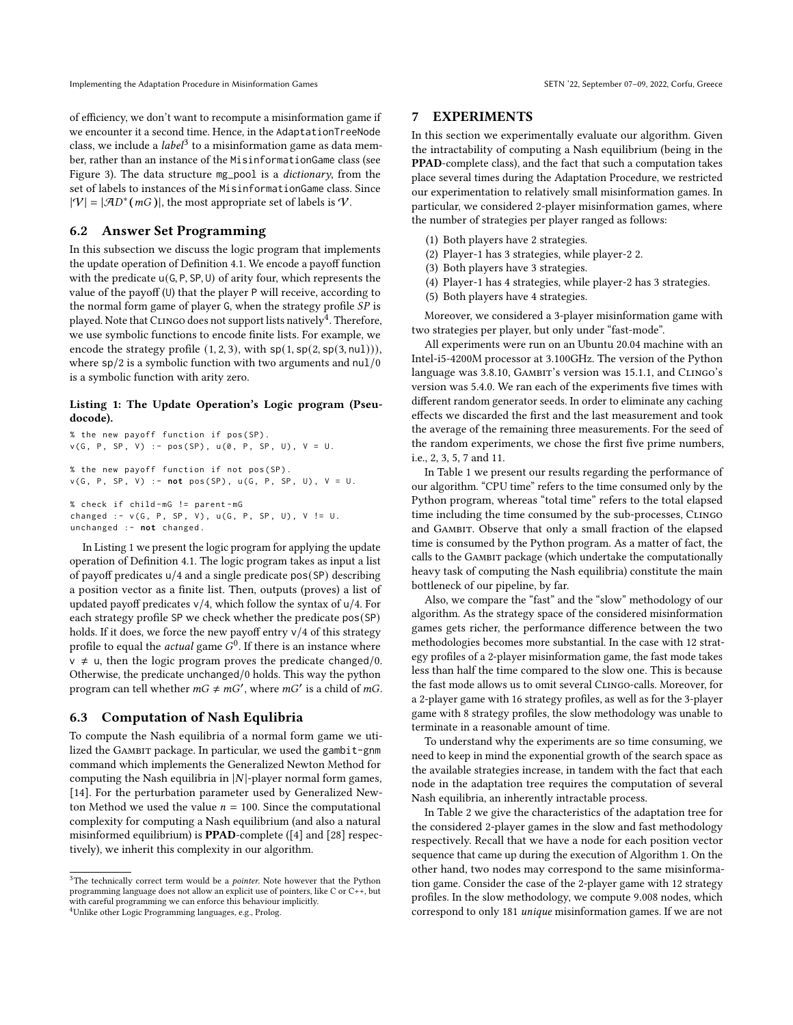of efficiency, we don't want to recompute a misinformation game if we encounter it a second time. Hence, in the AdaptationTreeNode class, we include a *label*<sup>[3](#page-8-1)</sup> to a misinformation game as data member, rather than an instance of the MisinformationGame class (see Figure [3\)](#page-7-3). The data structure mg\_pool is a dictionary, from the set of labels to instances of the MisinformationGame class. Since  $|\mathcal{V}| = |\mathcal{A}D^*(mG)|$ , the most appropriate set of labels is  $\mathcal{V}$ .

#### 6.2 Answer Set Programming

In this subsection we discuss the logic program that implements the update operation of Definition [4.1.](#page-2-4) We encode a payoff function with the predicate u(G, P, SP, U) of arity four, which represents the value of the payoff (U) that the player P will receive, according to the normal form game of player G, when the strategy profile  $SP$  is played. Note that  $\overline{\text{C}^{\text{L}}\text{L}}$  and  $\overline{\text{C}^{\text{L}}\text{}}$  and  $\overline{\text{C}^{\text{L}}\text{}}$  and  $\overline{\text{C}^{\text{L}}\text{}}$ we use symbolic functions to encode finite lists. For example, we encode the strategy profile  $(1, 2, 3)$ , with  $sp(1, sp(2, sp(3, null)))$ , where  $\frac{\text{sp}}{2}$  is a symbolic function with two arguments and nul/0 is a symbolic function with arity zero.

## <span id="page-8-3"></span>Listing 1: The Update Operation's Logic program (Pseudocode).

```
% the new payoff function if pos(SP).
v(G, P, SP, V) :- pos(SP), u(0, P, SP, U), V = U.
% the new payoff function if not pos ( SP ) .
v(G, P, SP, V) :- not pos(SP), u(G, P, SP, U), V = U.
% check if child-mG != parent-mG
changed :- v(G, P, SP, V), u(G, P, SP, U), V := U.
unchanged :- not changed.
```
In Listing [1](#page-8-3) we present the logic program for applying the update operation of Definition [4.1.](#page-2-4) The logic program takes as input a list of payoff predicates u/4 and a single predicate pos(SP) describing a position vector as a finite list. Then, outputs (proves) a list of updated payoff predicates  $v/4$ , which follow the syntax of  $u/4$ . For each strategy profile SP we check whether the predicate pos(SP) holds. If it does, we force the new payoff entry  $v/4$  of this strategy profile to equal the *actual* game  $G^0$ . If there is an instance where  $v \neq u$ , then the logic program proves the predicate changed/0. Otherwise, the predicate unchanged/0 holds. This way the python program can tell whether  $mG \neq mG'$ , where  $mG'$  is a child of  $mG$ .

## 6.3 Computation of Nash Equlibria

To compute the Nash equilibria of a normal form game we utilized the GAMBIT package. In particular, we used the gambit-gnm command which implements the Generalized Newton Method for computing the Nash equilibria in  $|N|$ -player normal form games, [\[14\]](#page-9-26). For the perturbation parameter used by Generalized Newton Method we used the value  $n = 100$ . Since the computational complexity for computing a Nash equilibrium (and also a natural misinformed equilibrium) is PPAD-complete ([\[4\]](#page-9-27) and [\[28\]](#page-9-1) respectively), we inherit this complexity in our algorithm.

<span id="page-8-2"></span><sup>4</sup>Unlike other Logic Programming languages, e.g., Prolog.

#### <span id="page-8-0"></span>7 EXPERIMENTS

In this section we experimentally evaluate our algorithm. Given the intractability of computing a Nash equilibrium (being in the PPAD-complete class), and the fact that such a computation takes place several times during the Adaptation Procedure, we restricted our experimentation to relatively small misinformation games. In particular, we considered 2-player misinformation games, where the number of strategies per player ranged as follows:

- (1) Both players have 2 strategies.
- (2) Player-1 has 3 strategies, while player-2 2.
- (3) Both players have 3 strategies.
- (4) Player-1 has 4 strategies, while player-2 has 3 strategies.
- (5) Both players have 4 strategies.

Moreover, we considered a 3-player misinformation game with two strategies per player, but only under "fast-mode".

All experiments were run on an Ubuntu 20.04 machine with an Intel-i5-4200M processor at 3.100GHz. The version of the Python language was 3.8.10, GAMBIT's version was 15.1.1, and CLINGO's version was 5.4.0. We ran each of the experiments five times with different random generator seeds. In order to eliminate any caching effects we discarded the first and the last measurement and took the average of the remaining three measurements. For the seed of the random experiments, we chose the first five prime numbers, i.e., 2, 3, 5, 7 and 11.

In Table [1](#page-9-28) we present our results regarding the performance of our algorithm. "CPU time" refers to the time consumed only by the Python program, whereas "total time" refers to the total elapsed time including the time consumed by the sub-processes, CLINGO and GAMBIT. Observe that only a small fraction of the elapsed time is consumed by the Python program. As a matter of fact, the calls to the GAMBIT package (which undertake the computationally heavy task of computing the Nash equilibria) constitute the main bottleneck of our pipeline, by far.

Also, we compare the "fast" and the "slow" methodology of our algorithm. As the strategy space of the considered misinformation games gets richer, the performance difference between the two methodologies becomes more substantial. In the case with 12 strategy profiles of a 2-player misinformation game, the fast mode takes less than half the time compared to the slow one. This is because the fast mode allows us to omit several Clingo-calls. Moreover, for a 2-player game with 16 strategy profiles, as well as for the 3-player game with 8 strategy profiles, the slow methodology was unable to terminate in a reasonable amount of time.

To understand why the experiments are so time consuming, we need to keep in mind the exponential growth of the search space as the available strategies increase, in tandem with the fact that each node in the adaptation tree requires the computation of several Nash equilibria, an inherently intractable process.

In Table [2](#page-9-29) we give the characteristics of the adaptation tree for the considered 2-player games in the slow and fast methodology respectively. Recall that we have a node for each position vector sequence that came up during the execution of Algorithm [1.](#page-6-0) On the other hand, two nodes may correspond to the same misinformation game. Consider the case of the 2-player game with 12 strategy profiles. In the slow methodology, we compute 9.008 nodes, which correspond to only 181 unique misinformation games. If we are not

<span id="page-8-1"></span> $3$ The technically correct term would be a *pointer*. Note however that the Python programming language does not allow an explicit use of pointers, like C or C++, but with careful programming we can enforce this behaviour implicitly.